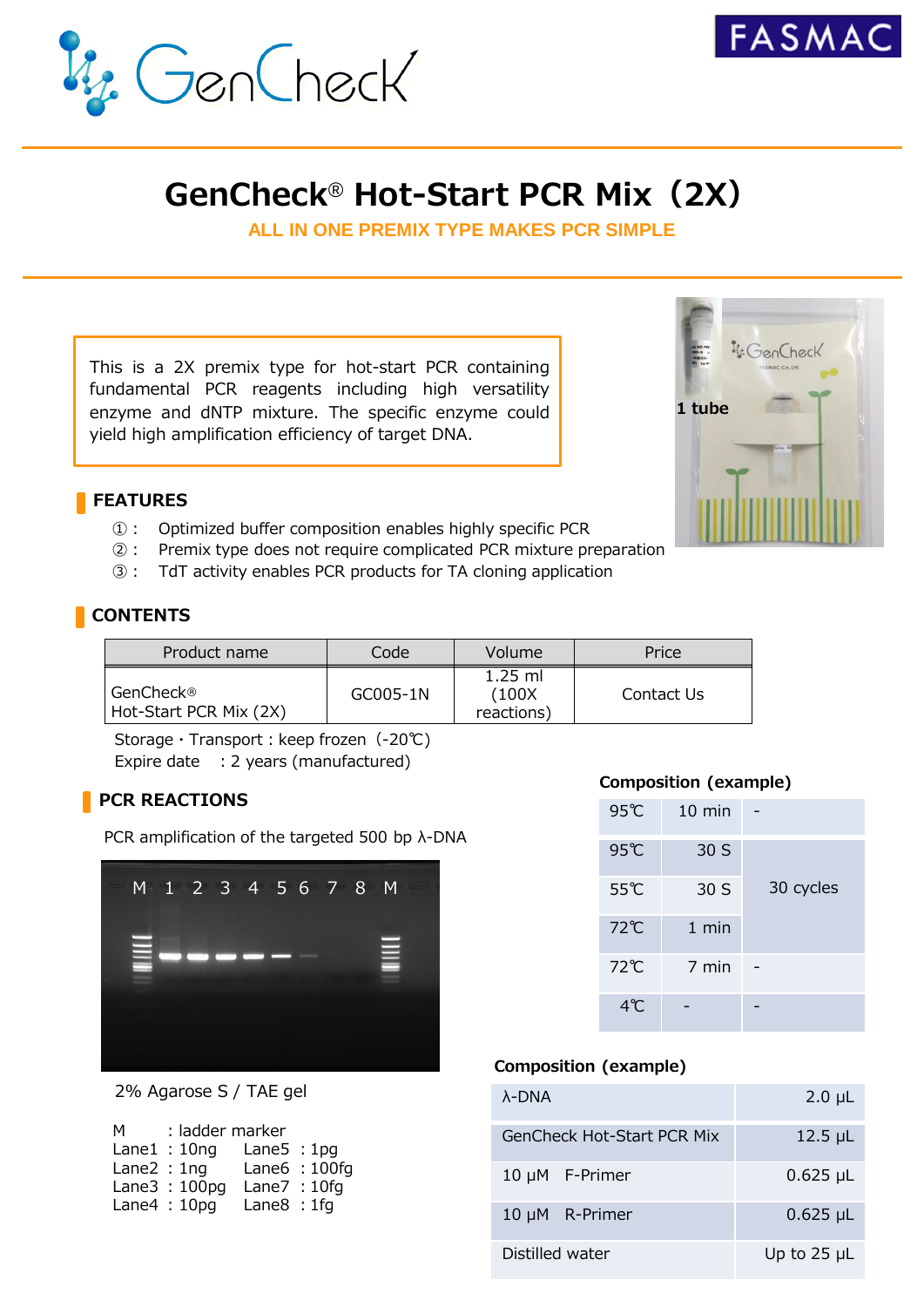



## **GenCheck**® **Hot-Start PCR Mix(2X)**

**ALL IN ONE PREMIX TYPE MAKES PCR SIMPLE**

This is a 2X premix type for hot-start PCR containing fundamental PCR reagents including high versatility enzyme and dNTP mixture. The specific enzyme could yield high amplification efficiency of target DNA.

#### **FEATURES**

- ①: Optimized buffer composition enables highly specific PCR
- ②: Premix type does not require complicated PCR mixture preparation
- ③: TdT activity enables PCR products for TA cloning application

#### **CONTENTS**

| Product name                          | Code     | Volume                            | Price      |
|---------------------------------------|----------|-----------------------------------|------------|
| l GenCheck®<br>Hot-Start PCR Mix (2X) | GC005-1N | $1.25$ ml<br>(100X)<br>reactions) | Contact Us |

Storage · Transport: keep frozen (-20℃) Expire date : 2 years (manufactured)

#### **PCR REACTIONS**

PCR amplification of the targeted 500 bp λ-DNA



2% Agarose S / TAE gel

| м             | : ladder marker |              |                |
|---------------|-----------------|--------------|----------------|
|               | Lane $1:10$ ng  | Lane $5:1pq$ |                |
| Lane $2:1$ ng |                 |              | Lane $6:100fg$ |
|               | Lane $3:100$ pg | Lane7: 10fg  |                |
|               | Lane $4:10pg$   | Lane $8:1fg$ |                |
|               |                 |              |                |

#### **Composition (example)**

| 95℃ | $10 \text{ min}$ |           |
|-----|------------------|-----------|
| 95℃ | 30 S             |           |
| 55℃ | 30 S             | 30 cycles |
| 72℃ | $1$ min          |           |
| 72℃ | $7$ min          |           |
| 4°C |                  |           |

#### **Composition (example)**

| $\lambda$ -DNA                    | $2.0 \mu L$        |
|-----------------------------------|--------------------|
| <b>GenCheck Hot-Start PCR Mix</b> | $12.5$ µL          |
| 10 $\mu$ M F-Primer               | $0.625 \mu L$      |
| 10 µM R-Primer                    | $0.625 \mu L$      |
| Distilled water                   | Up to $25$ $\mu$ L |